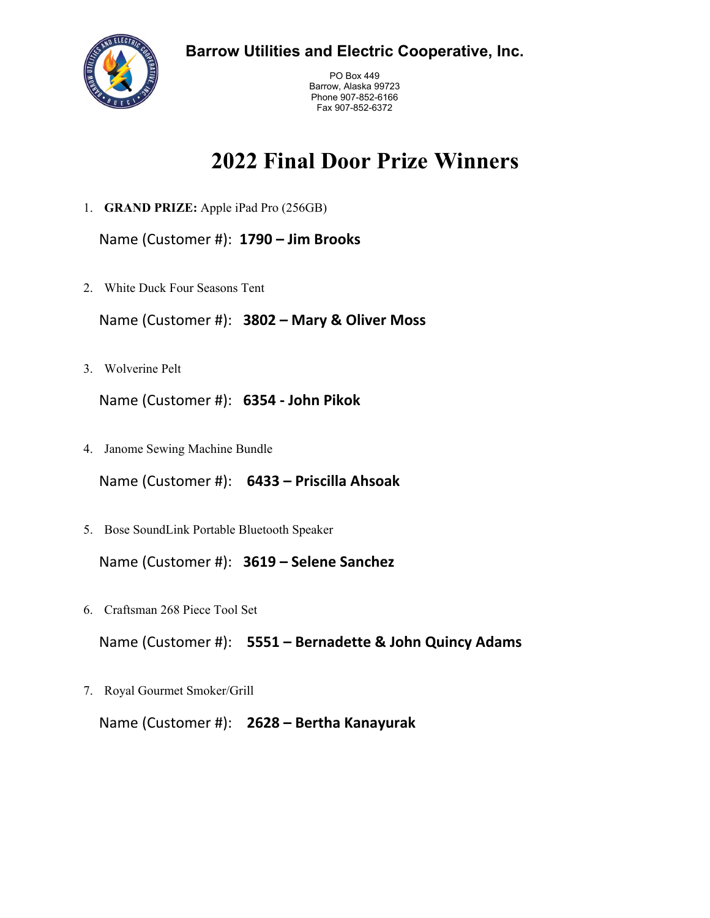**Barrow Utilities and Electric Cooperative, Inc.**



PO Box 449 Barrow, Alaska 99723 Phone 907-852-6166 Fax 907-852-6372

## **2022 Final Door Prize Winners**

1. **GRAND PRIZE:** Apple iPad Pro (256GB)

Name (Customer #): **1790 – Jim Brooks**

2. White Duck Four Seasons Tent

Name (Customer #): **3802 – Mary & Oliver Moss**

3. Wolverine Pelt

Name (Customer #): **6354 - John Pikok**

4. Janome Sewing Machine Bundle

Name (Customer #): **6433 – Priscilla Ahsoak**

5. Bose SoundLink Portable Bluetooth Speaker

Name (Customer #): **3619 – Selene Sanchez**

6. Craftsman 268 Piece Tool Set

Name (Customer #): **5551 – Bernadette & John Quincy Adams**

7. Royal Gourmet Smoker/Grill

Name (Customer #): **2628 – Bertha Kanayurak**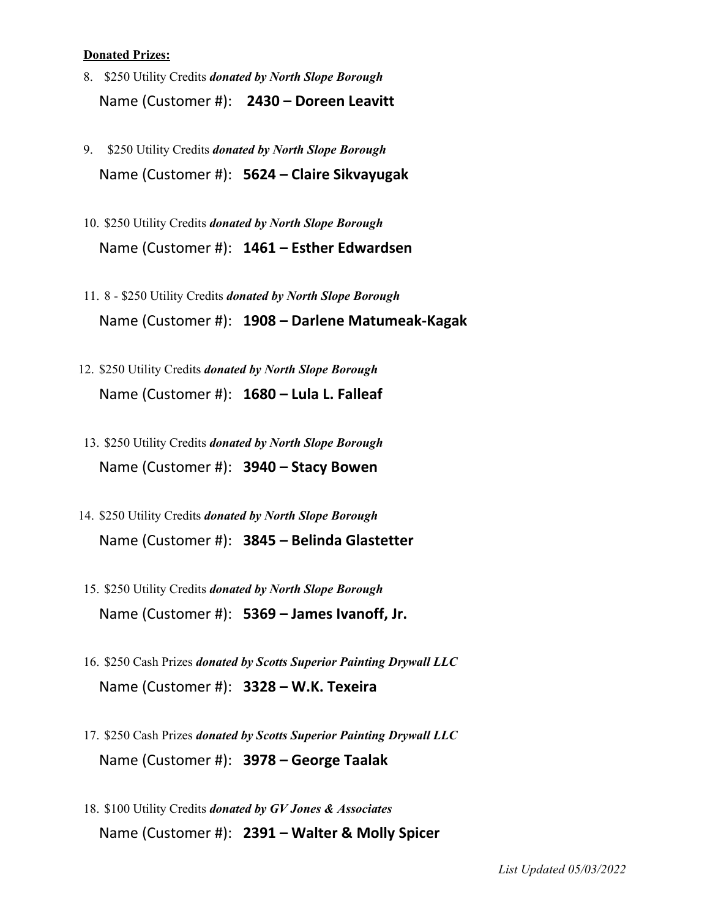## **Donated Prizes:**

- 8. \$250 Utility Credits *donated by North Slope Borough* Name (Customer #): **2430 – Doreen Leavitt**
- 9. \$250 Utility Credits *donated by North Slope Borough* Name (Customer #): **5624 – Claire Sikvayugak**
- 10. \$250 Utility Credits *donated by North Slope Borough* Name (Customer #): **1461 – Esther Edwardsen**
- 11. 8 \$250 Utility Credits *donated by North Slope Borough* Name (Customer #): **1908 – Darlene Matumeak-Kagak**
- 12. \$250 Utility Credits *donated by North Slope Borough* Name (Customer #): **1680 – Lula L. Falleaf**
- 13. \$250 Utility Credits *donated by North Slope Borough* Name (Customer #): **3940 – Stacy Bowen**
- 14. \$250 Utility Credits *donated by North Slope Borough* Name (Customer #): **3845 – Belinda Glastetter**
- 15. \$250 Utility Credits *donated by North Slope Borough* Name (Customer #): **5369 – James Ivanoff, Jr.**
- 16. \$250 Cash Prizes *donated by Scotts Superior Painting Drywall LLC* Name (Customer #): **3328 – W.K. Texeira**
- 17. \$250 Cash Prizes *donated by Scotts Superior Painting Drywall LLC* Name (Customer #): **3978 – George Taalak**
- 18. \$100 Utility Credits *donated by GV Jones & Associates* Name (Customer #): **2391 – Walter & Molly Spicer**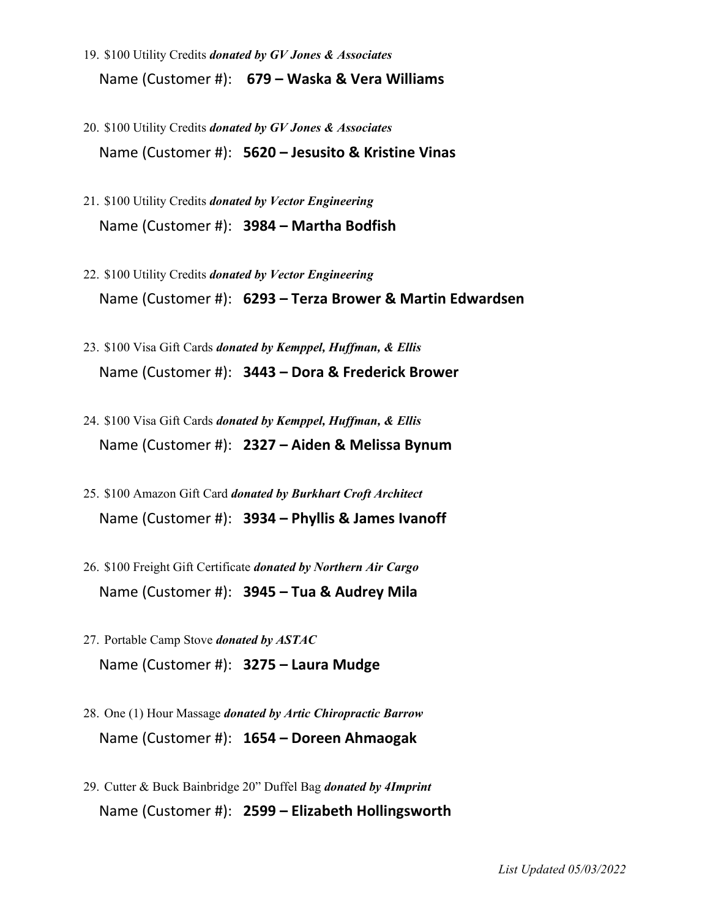- 19. \$100 Utility Credits *donated by GV Jones & Associates* Name (Customer #): **679 – Waska & Vera Williams**
- 20. \$100 Utility Credits *donated by GV Jones & Associates* Name (Customer #): **5620 – Jesusito & Kristine Vinas**
- 21. \$100 Utility Credits *donated by Vector Engineering* Name (Customer #): **3984 – Martha Bodfish**
- 22. \$100 Utility Credits *donated by Vector Engineering*  Name (Customer #): **6293 – Terza Brower & Martin Edwardsen**
- 23. \$100 Visa Gift Cards *donated by Kemppel, Huffman, & Ellis* Name (Customer #): **3443 – Dora & Frederick Brower**
- 24. \$100 Visa Gift Cards *donated by Kemppel, Huffman, & Ellis* Name (Customer #): **2327 – Aiden & Melissa Bynum**
- 25. \$100 Amazon Gift Card *donated by Burkhart Croft Architect* Name (Customer #): **3934 – Phyllis & James Ivanoff**
- 26. \$100 Freight Gift Certificate *donated by Northern Air Cargo*  Name (Customer #): **3945 – Tua & Audrey Mila**
- 27. Portable Camp Stove *donated by ASTAC* Name (Customer #): **3275 – Laura Mudge**
- 28. One (1) Hour Massage *donated by Artic Chiropractic Barrow* Name (Customer #): **1654 – Doreen Ahmaogak**
- 29. Cutter & Buck Bainbridge 20" Duffel Bag *donated by 4Imprint* Name (Customer #): **2599 – Elizabeth Hollingsworth**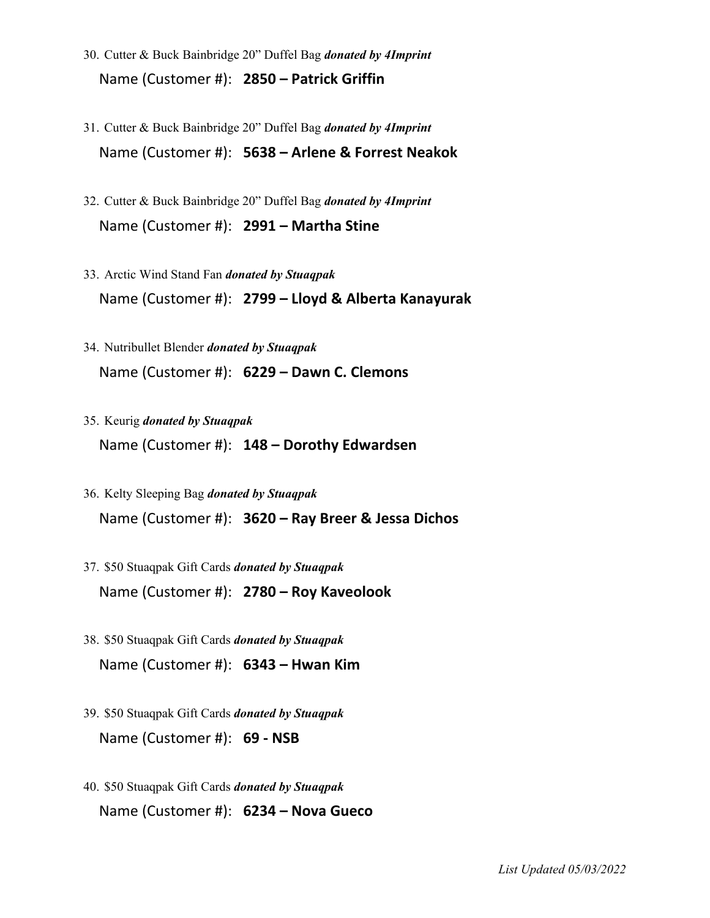- 30. Cutter & Buck Bainbridge 20" Duffel Bag *donated by 4Imprint* Name (Customer #): **2850 – Patrick Griffin**
- 31. Cutter & Buck Bainbridge 20" Duffel Bag *donated by 4Imprint* Name (Customer #): **5638 – Arlene & Forrest Neakok**
- 32. Cutter & Buck Bainbridge 20" Duffel Bag *donated by 4Imprint* Name (Customer #): **2991 – Martha Stine**
- 33. Arctic Wind Stand Fan *donated by Stuaqpak* Name (Customer #): **2799 – Lloyd & Alberta Kanayurak**
- 34. Nutribullet Blender *donated by Stuaqpak* Name (Customer #): **6229 – Dawn C. Clemons**
- 35. Keurig *donated by Stuaqpak* Name (Customer #): **148 – Dorothy Edwardsen**
- 36. Kelty Sleeping Bag *donated by Stuaqpak* Name (Customer #): **3620 – Ray Breer & Jessa Dichos**
- 37. \$50 Stuaqpak Gift Cards *donated by Stuaqpak* Name (Customer #): **2780 – Roy Kaveolook**
- 38. \$50 Stuaqpak Gift Cards *donated by Stuaqpak* Name (Customer #): **6343 – Hwan Kim**
- 39. \$50 Stuaqpak Gift Cards *donated by Stuaqpak* Name (Customer #): **69 - NSB**
- 40. \$50 Stuaqpak Gift Cards *donated by Stuaqpak* Name (Customer #): **6234 – Nova Gueco**